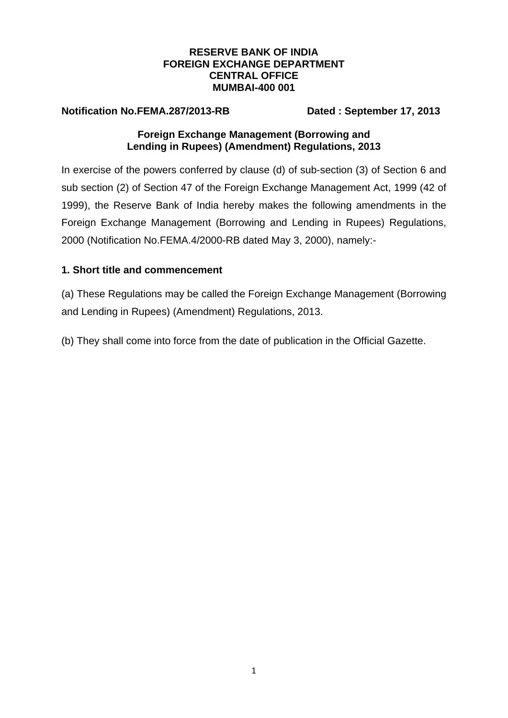### **RESERVE BANK OF INDIA FOREIGN EXCHANGE DEPARTMENT CENTRAL OFFICE MUMBAI-400 001**

**Notification No.FEMA.287/2013-RB Dated : September 17, 2013** 

## **Foreign Exchange Management (Borrowing and Lending in Rupees) (Amendment) Regulations, 2013**

In exercise of the powers conferred by clause (d) of sub-section (3) of Section 6 and sub section (2) of Section 47 of the Foreign Exchange Management Act, 1999 (42 of 1999), the Reserve Bank of India hereby makes the following amendments in the Foreign Exchange Management (Borrowing and Lending in Rupees) Regulations, 2000 (Notification No.FEMA.4/2000-RB dated May 3, 2000), namely:-

# **1. Short title and commencement**

(a) These Regulations may be called the Foreign Exchange Management (Borrowing and Lending in Rupees) (Amendment) Regulations, 2013.

(b) They shall come into force from the date of publication in the Official Gazette.